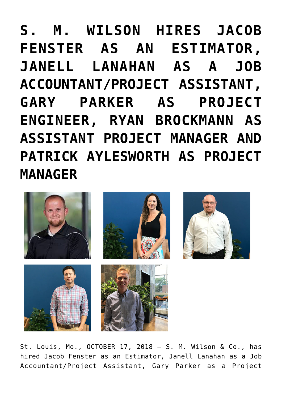**[S. M. WILSON HIRES JACOB](https://smwilson.com/press-releases/s-m-wilson-hires-jacob-fenster-as-an-estimator-janell-lanahan-as-a-job-accountant-project-assistant-gary-parker-as-project-engineer-ryan-brockmann-as-assistant-project-manager-and-patrick-ayleswo) [FENSTER AS AN ESTIMATOR,](https://smwilson.com/press-releases/s-m-wilson-hires-jacob-fenster-as-an-estimator-janell-lanahan-as-a-job-accountant-project-assistant-gary-parker-as-project-engineer-ryan-brockmann-as-assistant-project-manager-and-patrick-ayleswo) [JANELL LANAHAN AS A JOB](https://smwilson.com/press-releases/s-m-wilson-hires-jacob-fenster-as-an-estimator-janell-lanahan-as-a-job-accountant-project-assistant-gary-parker-as-project-engineer-ryan-brockmann-as-assistant-project-manager-and-patrick-ayleswo) [ACCOUNTANT/PROJECT ASSISTANT,](https://smwilson.com/press-releases/s-m-wilson-hires-jacob-fenster-as-an-estimator-janell-lanahan-as-a-job-accountant-project-assistant-gary-parker-as-project-engineer-ryan-brockmann-as-assistant-project-manager-and-patrick-ayleswo) [GARY PARKER AS PROJECT](https://smwilson.com/press-releases/s-m-wilson-hires-jacob-fenster-as-an-estimator-janell-lanahan-as-a-job-accountant-project-assistant-gary-parker-as-project-engineer-ryan-brockmann-as-assistant-project-manager-and-patrick-ayleswo) [ENGINEER, RYAN BROCKMANN AS](https://smwilson.com/press-releases/s-m-wilson-hires-jacob-fenster-as-an-estimator-janell-lanahan-as-a-job-accountant-project-assistant-gary-parker-as-project-engineer-ryan-brockmann-as-assistant-project-manager-and-patrick-ayleswo) [ASSISTANT PROJECT MANAGER AND](https://smwilson.com/press-releases/s-m-wilson-hires-jacob-fenster-as-an-estimator-janell-lanahan-as-a-job-accountant-project-assistant-gary-parker-as-project-engineer-ryan-brockmann-as-assistant-project-manager-and-patrick-ayleswo) [PATRICK AYLESWORTH AS PROJECT](https://smwilson.com/press-releases/s-m-wilson-hires-jacob-fenster-as-an-estimator-janell-lanahan-as-a-job-accountant-project-assistant-gary-parker-as-project-engineer-ryan-brockmann-as-assistant-project-manager-and-patrick-ayleswo) [MANAGER](https://smwilson.com/press-releases/s-m-wilson-hires-jacob-fenster-as-an-estimator-janell-lanahan-as-a-job-accountant-project-assistant-gary-parker-as-project-engineer-ryan-brockmann-as-assistant-project-manager-and-patrick-ayleswo)**



St. Louis, Mo., OCTOBER 17, 2018 – S. M. Wilson & Co., has hired Jacob Fenster as an Estimator, Janell Lanahan as a Job Accountant/Project Assistant, Gary Parker as a Project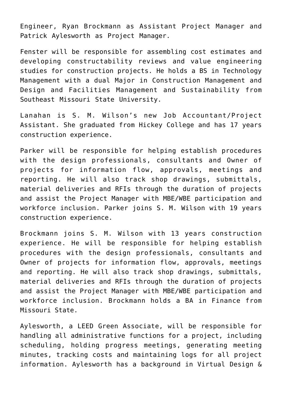Engineer, Ryan Brockmann as Assistant Project Manager and Patrick Aylesworth as Project Manager.

Fenster will be responsible for assembling cost estimates and developing constructability reviews and value engineering studies for construction projects. He holds a BS in Technology Management with a dual Major in Construction Management and Design and Facilities Management and Sustainability from Southeast Missouri State University.

Lanahan is S. M. Wilson's new Job Accountant/Project Assistant. She graduated from Hickey College and has 17 years construction experience.

Parker will be responsible for helping establish procedures with the design professionals, consultants and Owner of projects for information flow, approvals, meetings and reporting. He will also track shop drawings, submittals, material deliveries and RFIs through the duration of projects and assist the Project Manager with MBE/WBE participation and workforce inclusion. Parker joins S. M. Wilson with 19 years construction experience.

Brockmann joins S. M. Wilson with 13 years construction experience. He will be responsible for helping establish procedures with the design professionals, consultants and Owner of projects for information flow, approvals, meetings and reporting. He will also track shop drawings, submittals, material deliveries and RFIs through the duration of projects and assist the Project Manager with MBE/WBE participation and workforce inclusion. Brockmann holds a BA in Finance from Missouri State.

Aylesworth, a LEED Green Associate, will be responsible for handling all administrative functions for a project, including scheduling, holding progress meetings, generating meeting minutes, tracking costs and maintaining logs for all project information. Aylesworth has a background in Virtual Design &